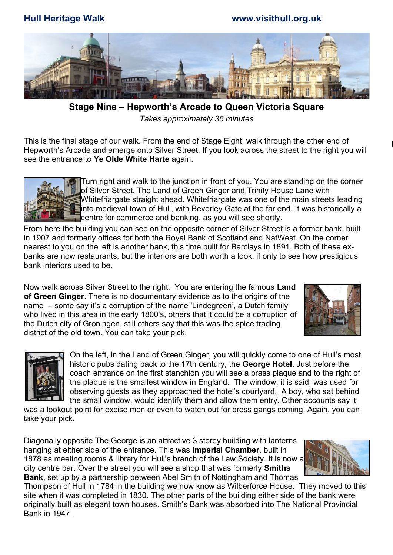**Hull Heritage Walk www.visithull.org.uk**



 **Stage Nine – Hepworth's Arcade to Queen Victoria Square**  *Takes approximately 35 minutes*

This is the final stage of our walk. From the end of Stage Eight, walk through the other end of Hepworth's Arcade and emerge onto Silver Street. If you look across the street to the right you will see the entrance to **Ye Olde White Harte** again.



Turn right and walk to the junction in front of you. You are standing on the corner of Silver Street, The Land of Green Ginger and Trinity House Lane with Whitefriargate straight ahead. Whitefriargate was one of the main streets leading into medieval town of Hull, with Beverley Gate at the far end. It was historically a centre for commerce and banking, as you will see shortly.

From here the building you can see on the opposite corner of Silver Street is a former bank, built in 1907 and formerly offices for both the Royal Bank of Scotland and NatWest. On the corner nearest to you on the left is another bank, this time built for Barclays in 1891. Both of these exbanks are now restaurants, but the interiors are both worth a look, if only to see how prestigious bank interiors used to be.

Now walk across Silver Street to the right. You are entering the famous **Land of Green Ginger**. There is no documentary evidence as to the origins of the name – some say it's a corruption of the name 'Lindegreen', a Dutch family who lived in this area in the early 1800's, others that it could be a corruption of the Dutch city of Groningen, still others say that this was the spice trading district of the old town. You can take your pick.





On the left, in the Land of Green Ginger, you will quickly come to one of Hull's most historic pubs dating back to the 17th century, the **George Hotel**. Just before the coach entrance on the first stanchion you will see a brass plaque and to the right of the plaque is the smallest window in England. The window, it is said, was used for observing guests as they approached the hotel's courtyard. A boy, who sat behind the small window, would identify them and allow them entry. Other accounts say it

was a lookout point for excise men or even to watch out for press gangs coming. Again, you can take your pick.

Diagonally opposite The George is an attractive 3 storey building with lanterns hanging at either side of the entrance. This was **Imperial Chamber**, built in 1878 as meeting rooms & library for Hull's branch of the Law Society. It is now a city centre bar. Over the street you will see a shop that was formerly **Smiths Bank**, set up by a partnership between Abel Smith of Nottingham and Thomas

Thompson of Hull in 1784 in the building we now know as Wilberforce House. They moved to this site when it was completed in 1830. The other parts of the building either side of the bank were originally built as elegant town houses. Smith's Bank was absorbed into The National Provincial Bank in 1947.

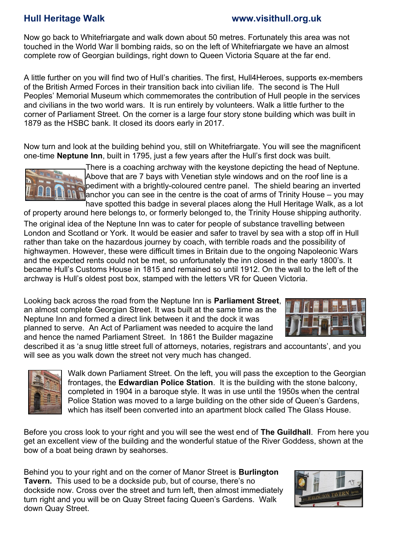### **Hull Heritage Walk www.visithull.org.uk**

Now go back to Whitefriargate and walk down about 50 metres. Fortunately this area was not touched in the World War ll bombing raids, so on the left of Whitefriargate we have an almost complete row of Georgian buildings, right down to Queen Victoria Square at the far end.

A little further on you will find two of Hull's charities. The first, Hull4Heroes, supports ex-members of the British Armed Forces in their transition back into civilian life. The second is The Hull Peoples' Memorial Museum which commemorates the contribution of Hull people in the services and civilians in the two world wars. It is run entirely by volunteers. Walk a little further to the corner of Parliament Street. On the corner is a large four story stone building which was built in 1879 as the HSBC bank. It closed its doors early in 2017.

Now turn and look at the building behind you, still on Whitefriargate. You will see the magnificent one-time **Neptune Inn**, built in 1795, just a few years after the Hull's first dock was built.



There is a coaching archway with the keystone depicting the head of Neptune. Above that are 7 bays with Venetian style windows and on the roof line is a pediment with a brightly-coloured centre panel. The shield bearing an inverted anchor you can see in the centre is the coat of arms of Trinity House – you may have spotted this badge in several places along the Hull Heritage Walk, as a lot

of property around here belongs to, or formerly belonged to, the Trinity House shipping authority.

The original idea of the Neptune Inn was to cater for people of substance travelling between London and Scotland or York. It would be easier and safer to travel by sea with a stop off in Hull rather than take on the hazardous journey by coach, with terrible roads and the possibility of highwaymen. However, these were difficult times in Britain due to the ongoing Napoleonic Wars and the expected rents could not be met, so unfortunately the inn closed in the early 1800's. It became Hull's Customs House in 1815 and remained so until 1912. On the wall to the left of the archway is Hull's oldest post box, stamped with the letters VR for Queen Victoria.

Looking back across the road from the Neptune Inn is **Parliament Street**, an almost complete Georgian Street. It was built at the same time as the Neptune Inn and formed a direct link between it and the dock it was planned to serve. An Act of Parliament was needed to acquire the land and hence the named Parliament Street. In 1861 the Builder magazine



described it as 'a snug little street full of attorneys, notaries, registrars and accountants', and you will see as you walk down the street not very much has changed.



Walk down Parliament Street. On the left, you will pass the exception to the Georgian frontages, the **Edwardian Police Station**. It is the building with the stone balcony, completed in 1904 in a baroque style. It was in use until the 1950s when the central Police Station was moved to a large building on the other side of Queen's Gardens, which has itself been converted into an apartment block called The Glass House.

Before you cross look to your right and you will see the west end of **The Guildhall**. From here you get an excellent view of the building and the wonderful statue of the River Goddess, shown at the bow of a boat being drawn by seahorses.

Behind you to your right and on the corner of Manor Street is **Burlington Tavern.** This used to be a dockside pub, but of course, there's no dockside now. Cross over the street and turn left, then almost immediately turn right and you will be on Quay Street facing Queen's Gardens. Walk down Quay Street.